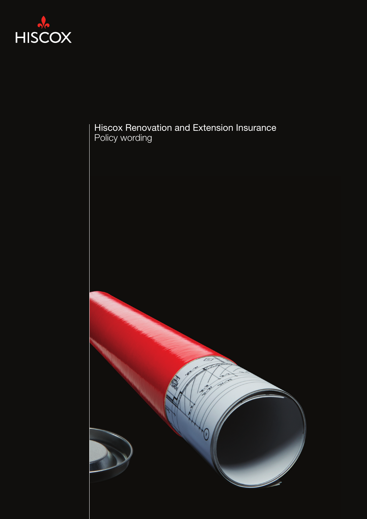

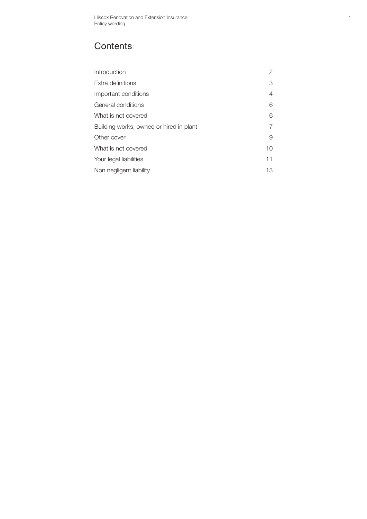# **Contents**

| Introduction                            | 2  |
|-----------------------------------------|----|
| Extra definitions                       | 3  |
| Important conditions                    | 4  |
| General conditions                      | 6  |
| What is not covered                     | 6  |
| Building works, owned or hired in plant |    |
| Other cover                             | 9  |
| What is not covered                     | 10 |
| Your legal liabilities                  | 11 |
| Non negligent liability                 | 13 |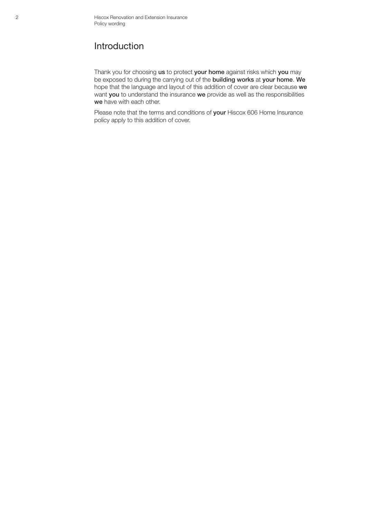#### Introduction

Thank you for choosing us to protect your home against risks which you may be exposed to during the carrying out of the building works at your home. We hope that the language and layout of this addition of cover are clear because we want you to understand the insurance we provide as well as the responsibilities we have with each other.

Please note that the terms and conditions of your Hiscox 606 Home Insurance policy apply to this addition of cover.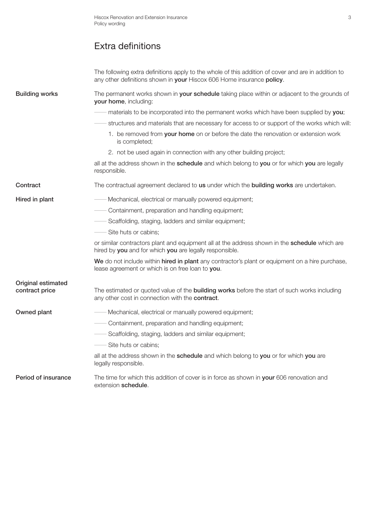# Extra definitions

|                                             | The following extra definitions apply to the whole of this addition of cover and are in addition to<br>any other definitions shown in your Hiscox 606 Home insurance policy. |
|---------------------------------------------|------------------------------------------------------------------------------------------------------------------------------------------------------------------------------|
| <b>Building works</b>                       | The permanent works shown in your schedule taking place within or adjacent to the grounds of<br>your home, including:                                                        |
|                                             | materials to be incorporated into the permanent works which have been supplied by you;                                                                                       |
|                                             | structures and materials that are necessary for access to or support of the works which will:                                                                                |
|                                             | 1. be removed from your home on or before the date the renovation or extension work<br>is completed;                                                                         |
|                                             | 2. not be used again in connection with any other building project;                                                                                                          |
|                                             | all at the address shown in the schedule and which belong to you or for which you are legally<br>responsible.                                                                |
| Contract                                    | The contractual agreement declared to us under which the building works are undertaken.                                                                                      |
| Hired in plant                              | - Mechanical, electrical or manually powered equipment;                                                                                                                      |
|                                             | Containment, preparation and handling equipment;                                                                                                                             |
|                                             | Scaffolding, staging, ladders and similar equipment;                                                                                                                         |
|                                             | Site huts or cabins;                                                                                                                                                         |
|                                             | or similar contractors plant and equipment all at the address shown in the schedule which are<br>hired by you and for which you are legally responsible.                     |
|                                             | We do not include within hired in plant any contractor's plant or equipment on a hire purchase,<br>lease agreement or which is on free loan to you.                          |
| <b>Original estimated</b><br>contract price | The estimated or quoted value of the <b>building works</b> before the start of such works including<br>any other cost in connection with the contract.                       |
| Owned plant                                 | - Mechanical, electrical or manually powered equipment;                                                                                                                      |
|                                             | Containment, preparation and handling equipment;                                                                                                                             |
|                                             | Scaffolding, staging, ladders and similar equipment;                                                                                                                         |
|                                             | - Site huts or cabins;                                                                                                                                                       |
|                                             | all at the address shown in the schedule and which belong to you or for which you are<br>legally responsible.                                                                |
| Period of insurance                         | The time for which this addition of cover is in force as shown in your 606 renovation and<br>extension schedule.                                                             |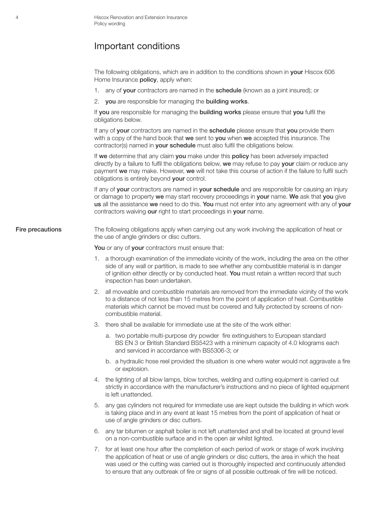#### Important conditions

The following obligations, which are in addition to the conditions shown in your Hiscox 606 Home Insurance **policy**, apply when:

- 1. any of your contractors are named in the schedule (known as a joint insured); or
- 2. you are responsible for managing the building works.

If you are responsible for managing the building works please ensure that you fulfil the obligations below.

If any of your contractors are named in the schedule please ensure that you provide them with a copy of the hand book that we sent to you when we accepted this insurance. The contractor(s) named in **your schedule** must also fulfil the obligations below.

If we determine that any claim you make under this policy has been adversely impacted directly by a failure to fulfil the obligations below, we may refuse to pay your claim or reduce any payment we may make. However, we will not take this course of action if the failure to fulfil such obligations is entirely beyond your control.

If any of your contractors are named in your schedule and are responsible for causing an injury or damage to property we may start recovery proceedings in your name. We ask that you give us all the assistance we need to do this. You must not enter into any agreement with any of vour contractors waiving our right to start proceedings in your name.

Fire precautions The following obligations apply when carrying out any work involving the application of heat or the use of angle grinders or disc cutters.

You or any of your contractors must ensure that:

- 1. a thorough examination of the immediate vicinity of the work, including the area on the other side of any wall or partition, is made to see whether any combustible material is in danger of ignition either directly or by conducted heat. You must retain a written record that such inspection has been undertaken.
- 2. all moveable and combustible materials are removed from the immediate vicinity of the work to a distance of not less than 15 metres from the point of application of heat. Combustible materials which cannot be moved must be covered and fully protected by screens of noncombustible material.
- 3. there shall be available for immediate use at the site of the work either:
	- a. two portable multi-purpose dry powder fire extinguishers to European standard BS EN 3 or British Standard BS5423 with a minimum capacity of 4.0 kilograms each and serviced in accordance with BS5306-3; or
	- b. a hydraulic hose reel provided the situation is one where water would not aggravate a fire or explosion.
- 4. the lighting of all blow lamps, blow torches, welding and cutting equipment is carried out strictly in accordance with the manufacturer's instructions and no piece of lighted equipment is left unattended.
- 5. any gas cylinders not required for immediate use are kept outside the building in which work is taking place and in any event at least 15 metres from the point of application of heat or use of angle grinders or disc cutters.
- 6. any tar bitumen or asphalt boiler is not left unattended and shall be located at ground level on a non-combustible surface and in the open air whilst lighted.
- 7. for at least one hour after the completion of each period of work or stage of work involving the application of heat or use of angle grinders or disc cutters, the area in which the heat was used or the cutting was carried out is thoroughly inspected and continuously attended to ensure that any outbreak of fire or signs of all possible outbreak of fire will be noticed.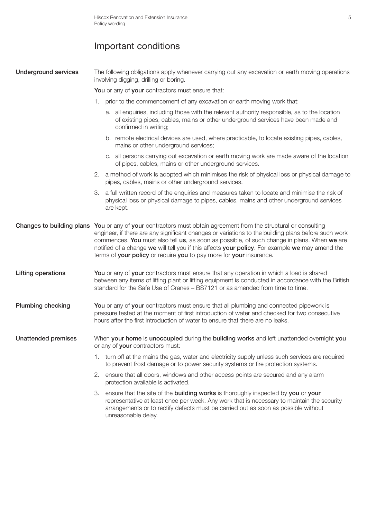# Important conditions

| <b>Underground services</b> | The following obligations apply whenever carrying out any excavation or earth moving operations<br>involving digging, drilling or boring.                                                                                                                                                                                                                                                                                                                                                        |  |  |
|-----------------------------|--------------------------------------------------------------------------------------------------------------------------------------------------------------------------------------------------------------------------------------------------------------------------------------------------------------------------------------------------------------------------------------------------------------------------------------------------------------------------------------------------|--|--|
|                             | You or any of your contractors must ensure that:                                                                                                                                                                                                                                                                                                                                                                                                                                                 |  |  |
|                             | 1. prior to the commencement of any excavation or earth moving work that:                                                                                                                                                                                                                                                                                                                                                                                                                        |  |  |
|                             | a. all enquiries, including those with the relevant authority responsible, as to the location<br>of existing pipes, cables, mains or other underground services have been made and<br>confirmed in writing;                                                                                                                                                                                                                                                                                      |  |  |
|                             | b. remote electrical devices are used, where practicable, to locate existing pipes, cables,<br>mains or other underground services;                                                                                                                                                                                                                                                                                                                                                              |  |  |
|                             | c. all persons carrying out excavation or earth moving work are made aware of the location<br>of pipes, cables, mains or other underground services.                                                                                                                                                                                                                                                                                                                                             |  |  |
|                             | 2. a method of work is adopted which minimises the risk of physical loss or physical damage to<br>pipes, cables, mains or other underground services.                                                                                                                                                                                                                                                                                                                                            |  |  |
|                             | a full written record of the enquiries and measures taken to locate and minimise the risk of<br>3.<br>physical loss or physical damage to pipes, cables, mains and other underground services<br>are kept.                                                                                                                                                                                                                                                                                       |  |  |
|                             | Changes to building plans You or any of your contractors must obtain agreement from the structural or consulting<br>engineer, if there are any significant changes or variations to the building plans before such work<br>commences. You must also tell us, as soon as possible, of such change in plans. When we are<br>notified of a change we will tell you if this affects your policy. For example we may amend the<br>terms of your policy or require you to pay more for your insurance. |  |  |
| Lifting operations          | You or any of your contractors must ensure that any operation in which a load is shared<br>between any items of lifting plant or lifting equipment is conducted in accordance with the British<br>standard for the Safe Use of Cranes - BS7121 or as amended from time to time.                                                                                                                                                                                                                  |  |  |
| <b>Plumbing checking</b>    | You or any of your contractors must ensure that all plumbing and connected pipework is<br>pressure tested at the moment of first introduction of water and checked for two consecutive<br>hours after the first introduction of water to ensure that there are no leaks.                                                                                                                                                                                                                         |  |  |
| <b>Unattended premises</b>  | When your home is unoccupied during the building works and left unattended overnight you<br>or any of your contractors must:                                                                                                                                                                                                                                                                                                                                                                     |  |  |
|                             | 1. turn off at the mains the gas, water and electricity supply unless such services are required<br>to prevent frost damage or to power security systems or fire protection systems.                                                                                                                                                                                                                                                                                                             |  |  |
|                             | 2. ensure that all doors, windows and other access points are secured and any alarm<br>protection available is activated.                                                                                                                                                                                                                                                                                                                                                                        |  |  |
|                             | 3. ensure that the site of the <b>building works</b> is thoroughly inspected by you or your<br>representative at least once per week. Any work that is necessary to maintain the security<br>arrangements or to rectify defects must be carried out as soon as possible without<br>unreasonable delay.                                                                                                                                                                                           |  |  |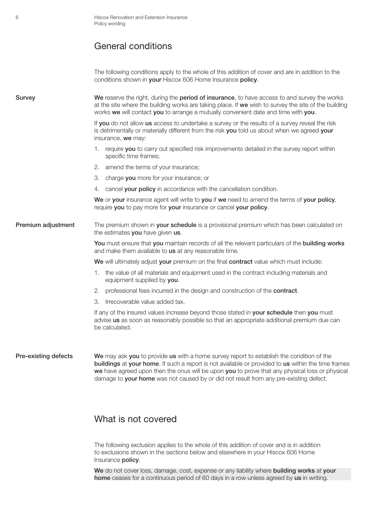#### General conditions

The following conditions apply to the whole of this addition of cover and are in addition to the conditions shown in your Hiscox 606 Home Insurance policy.

Survey **We reserve the right, during the period of insurance**, to have access to and survey the works at the site where the building works are taking place. If we wish to survey the site of the building works we will contact you to arrange a mutually convenient date and time with you.

> If you do not allow us access to undertake a survey or the results of a survey reveal the risk is detrimentally or materially different from the risk you told us about when we agreed your insurance, we may:

- 1. require you to carry out specified risk improvements detailed in the survey report within specific time frames;
- 2. amend the terms of your insurance;
- 3. charge you more for your insurance; or
- 4. cancel your policy in accordance with the cancellation condition.

We or your insurance agent will write to you if we need to amend the terms of your policy, require you to pay more for your insurance or cancel your policy.

#### **Premium adjustment** The premium shown in your schedule is a provisional premium which has been calculated on the estimates you have given us.

You must ensure that you maintain records of all the relevant particulars of the building works and make them available to us at any reasonable time.

We will ultimately adjust your premium on the final contract value which must include:

- 1. the value of all materials and equipment used in the contract including materials and equipment supplied by you.
- 2. professional fees incurred in the design and construction of the contract.
- 3. Irrecoverable value added tax.

If any of the insured values increase beyond those stated in your schedule then you must advise us as soon as reasonably possible so that an appropriate additional premium due can be calculated.

Pre-existing defects We may ask you to provide us with a home survey report to establish the condition of the buildings at your home. If such a report is not available or provided to us within the time frames we have agreed upon then the onus will be upon you to prove that any physical loss or physical damage to your home was not caused by or did not result from any pre-existing defect.

#### What is not covered

The following exclusion applies to the whole of this addition of cover and is in addition to exclusions shown in the sections below and elsewhere in your Hiscox 606 Home Insurance policy.

We do not cover loss, damage, cost, expense or any liability where **building works** at your home ceases for a continuous period of 60 days in a row unless agreed by us in writing.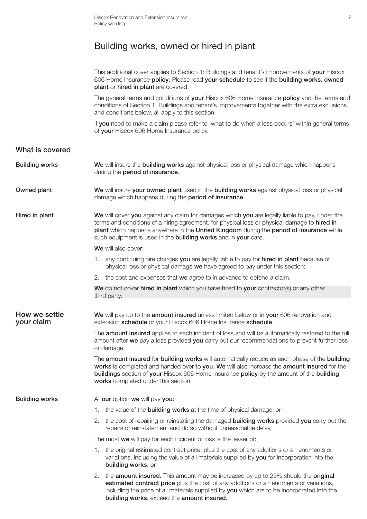### Building works, owned or hired in plant

|                             | This additional cover applies to Section 1: Buildings and tenant's improvements of your Hiscox<br>606 Home Insurance policy. Please read your schedule to see if the building works, owned<br>plant or hired in plant are covered.                                                                                                                          |
|-----------------------------|-------------------------------------------------------------------------------------------------------------------------------------------------------------------------------------------------------------------------------------------------------------------------------------------------------------------------------------------------------------|
|                             | The general terms and conditions of your Hiscox 606 Home Insurance policy and the terms and<br>conditions of Section 1: Buildings and tenant's improvements together with the extra exclusions<br>and conditions below, all apply to this section.                                                                                                          |
|                             | If you need to make a claim please refer to 'what to do when a loss occurs' within general terms<br>of your Hiscox 606 Home Insurance policy.                                                                                                                                                                                                               |
| What is covered             |                                                                                                                                                                                                                                                                                                                                                             |
| <b>Building works</b>       | We will insure the building works against physical loss or physical damage which happens<br>during the period of insurance.                                                                                                                                                                                                                                 |
| Owned plant                 | We will insure your owned plant used in the building works against physical loss or physical<br>damage which happens during the period of insurance.                                                                                                                                                                                                        |
| Hired in plant              | We will cover you against any claim for damages which you are legally liable to pay, under the<br>terms and conditions of a hiring agreement, for physical loss or physical damage to hired in<br>plant which happens anywhere in the United Kingdom during the period of insurance while<br>such equipment is used in the building works and in your care. |
|                             | We will also cover:                                                                                                                                                                                                                                                                                                                                         |
|                             | any continuing hire charges you are legally liable to pay for hired in plant because of<br>1.<br>physical loss or physical damage we have agreed to pay under this section;                                                                                                                                                                                 |
|                             | 2. the cost and expenses that we agree to in advance to defend a claim.                                                                                                                                                                                                                                                                                     |
|                             | We do not cover hired in plant which you have hired to your contractor(s) or any other<br>third party.                                                                                                                                                                                                                                                      |
| How we settle<br>your claim | We will pay up to the amount insured unless limited below or in your 606 renovation and<br>extension schedule or your Hiscox 606 Home Insurance schedule.                                                                                                                                                                                                   |
|                             | The amount insured applies to each incident of loss and will be automatically restored to the full<br>amount after we pay a loss provided you carry out our recommendations to prevent further loss<br>or damage.                                                                                                                                           |
|                             | The amount insured for building works will automatically reduce as each phase of the building<br>works is completed and handed over to you. We will also increase the amount insured for the<br>buildings section of your Hiscox 606 Home Insurance policy by the amount of the building<br>works completed under this section.                             |
| <b>Building works</b>       | At our option we will pay you:                                                                                                                                                                                                                                                                                                                              |
|                             | 1. the value of the <b>building works</b> at the time of physical damage, or                                                                                                                                                                                                                                                                                |

2. the cost of repairing or reinstating the damaged building works provided you carry out the repairs or reinstatement and do so without unreasonable delay.

The most we will pay for each incident of loss is the lesser of:

- 1. the original estimated contract price, plus the cost of any additions or amendments or variations, including the value of all materials supplied by you for incorporation into the building works, or
- 2. the amount insured. This amount may be increased by up to 25% should the original estimated contract price plus the cost of any additions or amendments or variations, including the price of all materials supplied by you which are to be incorporated into the building works, exceed the amount insured.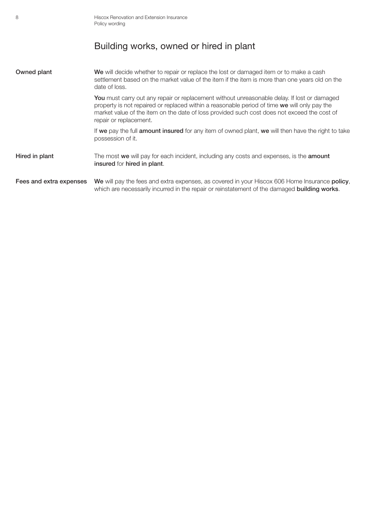| 8                       | Hiscox Renovation and Extension Insurance<br>Policy wording                                                                                                                                                                                                                                                          |
|-------------------------|----------------------------------------------------------------------------------------------------------------------------------------------------------------------------------------------------------------------------------------------------------------------------------------------------------------------|
|                         | Building works, owned or hired in plant                                                                                                                                                                                                                                                                              |
| Owned plant             | We will decide whether to repair or replace the lost or damaged item or to make a cash<br>settlement based on the market value of the item if the item is more than one years old on the<br>date of loss.                                                                                                            |
|                         | You must carry out any repair or replacement without unreasonable delay. If lost or damaged<br>property is not repaired or replaced within a reasonable period of time we will only pay the<br>market value of the item on the date of loss provided such cost does not exceed the cost of<br>repair or replacement. |
|                         | If we pay the full <b>amount insured</b> for any item of owned plant, we will then have the right to take<br>possession of it.                                                                                                                                                                                       |
| Hired in plant          | The most we will pay for each incident, including any costs and expenses, is the <b>amount</b><br>insured for hired in plant.                                                                                                                                                                                        |
| Fees and extra expenses | We will pay the fees and extra expenses, as covered in your Hiscox 606 Home Insurance policy,<br>which are necessarily incurred in the repair or reinstatement of the damaged <b>building works</b> .                                                                                                                |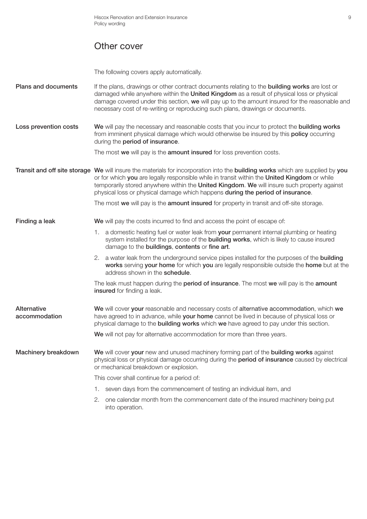### Other cover

The following covers apply automatically.

Plans and documents If the plans, drawings or other contract documents relating to the building works are lost or damaged while anywhere within the United Kingdom as a result of physical loss or physical damage covered under this section, we will pay up to the amount insured for the reasonable and necessary cost of re-writing or reproducing such plans, drawings or documents.

Loss prevention costs We will pay the necessary and reasonable costs that you incur to protect the building works from imminent physical damage which would otherwise be insured by this **policy** occurring during the period of insurance.

The most we will pay is the **amount insured** for loss prevention costs.

Transit and off site storage We will insure the materials for incorporation into the building works which are supplied by you or for which you are legally responsible while in transit within the United Kingdom or while temporarily stored anywhere within the United Kingdom. We will insure such property against physical loss or physical damage which happens during the period of insurance.

The most we will pay is the amount insured for property in transit and off-site storage.

**Finding a leak** We will pay the costs incurred to find and access the point of escape of:

- 1. a domestic heating fuel or water leak from your permanent internal plumbing or heating system installed for the purpose of the **building works**, which is likely to cause insured damage to the buildings, contents or fine art.
- 2. a water leak from the underground service pipes installed for the purposes of the **building** works serving your home for which you are legally responsible outside the home but at the address shown in the schedule.

The leak must happen during the **period of insurance**. The most we will pay is the **amount** insured for finding a leak.

Alternative We will cover your reasonable and necessary costs of alternative accommodation, which we **accommodation** have agreed to in advance, while your home cannot be lived in because of physical loss or physical damage to the **building works** which we have agreed to pay under this section.

We will not pay for alternative accommodation for more than three years.

Machinery breakdown We will cover your new and unused machinery forming part of the building works against physical loss or physical damage occurring during the **period of insurance** caused by electrical or mechanical breakdown or explosion.

This cover shall continue for a period of:

- 1. seven days from the commencement of testing an individual item, and
- 2. one calendar month from the commencement date of the insured machinery being put into operation.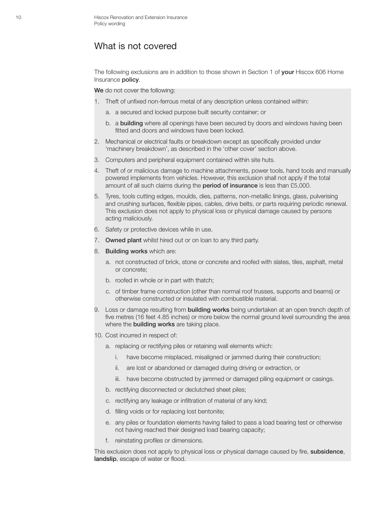#### What is not covered

The following exclusions are in addition to those shown in Section 1 of your Hiscox 606 Home Insurance policy.

We do not cover the following:

- 1. Theft of unfixed non-ferrous metal of any description unless contained within:
	- a. a secured and locked purpose built security container; or
	- b. a building where all openings have been secured by doors and windows having been fitted and doors and windows have been locked.
- 2. Mechanical or electrical faults or breakdown except as specifically provided under 'machinery breakdown', as described in the 'other cover' section above.
- 3. Computers and peripheral equipment contained within site huts.
- 4. Theft of or malicious damage to machine attachments, power tools, hand tools and manually powered implements from vehicles. However, this exclusion shall not apply if the total amount of all such claims during the period of insurance is less than £5,000.
- 5. Tyres, tools cutting edges, moulds, dies, patterns, non-metallic linings, glass, pulverising and crushing surfaces, flexible pipes, cables, drive belts, or parts requiring periodic renewal. This exclusion does not apply to physical loss or physical damage caused by persons acting maliciously.
- 6. Safety or protective devices while in use.
- 7. Owned plant whilst hired out or on loan to any third party.
- 8. Building works which are:
	- a. not constructed of brick, stone or concrete and roofed with slates, tiles, asphalt, metal or concrete;
	- b. roofed in whole or in part with thatch;
	- c. of timber frame construction (other than normal roof trusses, supports and beams) or otherwise constructed or insulated with combustible material.
- 9. Loss or damage resulting from **building works** being undertaken at an open trench depth of five metres (16 feet 4.85 inches) or more below the normal ground level surrounding the area where the **building works** are taking place.
- 10. Cost incurred in respect of:
	- a. replacing or rectifying piles or retaining wall elements which:
		- i. have become misplaced, misaligned or jammed during their construction;
		- ii. are lost or abandoned or damaged during driving or extraction, or
		- iii. have become obstructed by jammed or damaged piling equipment or casings.
	- b. rectifying disconnected or declutched sheet piles;
	- c. rectifying any leakage or infiltration of material of any kind;
	- d. filling voids or for replacing lost bentonite;
	- e. any piles or foundation elements having failed to pass a load bearing test or otherwise not having reached their designed load bearing capacity;
	- f. reinstating profiles or dimensions.

This exclusion does not apply to physical loss or physical damage caused by fire, subsidence, landslip, escape of water or flood.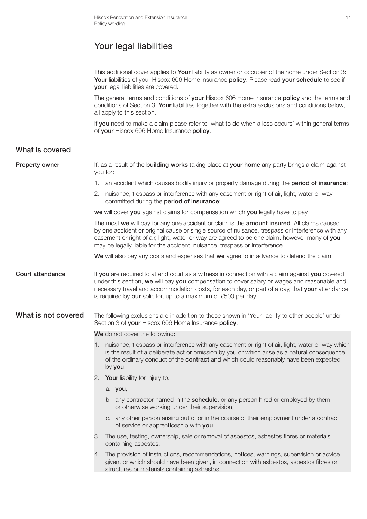# Your legal liabilities

This additional cover applies to Your liability as owner or occupier of the home under Section 3: Your liabilities of your Hiscox 606 Home insurance policy. Please read your schedule to see if your legal liabilities are covered.

The general terms and conditions of your Hiscox 606 Home Insurance policy and the terms and conditions of Section 3: Your liabilities together with the extra exclusions and conditions below, all apply to this section.

If you need to make a claim please refer to 'what to do when a loss occurs' within general terms of your Hiscox 606 Home Insurance policy.

#### What is covered

| <b>Property owner</b>   | If, as a result of the <b>building works</b> taking place at your home any party brings a claim against<br>you for:                                                                                                                                                                                                                                                              |                                                                                                                                                                                                                                                                                                     |  |  |  |
|-------------------------|----------------------------------------------------------------------------------------------------------------------------------------------------------------------------------------------------------------------------------------------------------------------------------------------------------------------------------------------------------------------------------|-----------------------------------------------------------------------------------------------------------------------------------------------------------------------------------------------------------------------------------------------------------------------------------------------------|--|--|--|
|                         |                                                                                                                                                                                                                                                                                                                                                                                  | 1. an accident which causes bodily injury or property damage during the <b>period of insurance</b> ;                                                                                                                                                                                                |  |  |  |
|                         | 2.                                                                                                                                                                                                                                                                                                                                                                               | nuisance, trespass or interference with any easement or right of air, light, water or way<br>committed during the period of insurance;                                                                                                                                                              |  |  |  |
|                         |                                                                                                                                                                                                                                                                                                                                                                                  | we will cover you against claims for compensation which you legally have to pay.                                                                                                                                                                                                                    |  |  |  |
|                         | The most we will pay for any one accident or claim is the amount insured. All claims caused<br>by one accident or original cause or single source of nuisance, trespass or interference with any<br>easement or right of air, light, water or way are agreed to be one claim, however many of you<br>may be legally liable for the accident, nuisance, trespass or interference. |                                                                                                                                                                                                                                                                                                     |  |  |  |
|                         |                                                                                                                                                                                                                                                                                                                                                                                  | We will also pay any costs and expenses that we agree to in advance to defend the claim.                                                                                                                                                                                                            |  |  |  |
| <b>Court attendance</b> | If you are required to attend court as a witness in connection with a claim against you covered<br>under this section, we will pay you compensation to cover salary or wages and reasonable and<br>necessary travel and accommodation costs, for each day, or part of a day, that your attendance<br>is required by our solicitor, up to a maximum of £500 per day.              |                                                                                                                                                                                                                                                                                                     |  |  |  |
| What is not covered     |                                                                                                                                                                                                                                                                                                                                                                                  | The following exclusions are in addition to those shown in 'Your liability to other people' under<br>Section 3 of your Hiscox 606 Home Insurance policy.                                                                                                                                            |  |  |  |
|                         |                                                                                                                                                                                                                                                                                                                                                                                  | We do not cover the following:                                                                                                                                                                                                                                                                      |  |  |  |
|                         | 1.                                                                                                                                                                                                                                                                                                                                                                               | nuisance, trespass or interference with any easement or right of air, light, water or way which<br>is the result of a deliberate act or omission by you or which arise as a natural consequence<br>of the ordinary conduct of the contract and which could reasonably have been expected<br>by you. |  |  |  |
|                         | 2.                                                                                                                                                                                                                                                                                                                                                                               | Your liability for injury to:                                                                                                                                                                                                                                                                       |  |  |  |
|                         |                                                                                                                                                                                                                                                                                                                                                                                  | a. you;                                                                                                                                                                                                                                                                                             |  |  |  |
|                         |                                                                                                                                                                                                                                                                                                                                                                                  | b. any contractor named in the <b>schedule</b> , or any person hired or employed by them,<br>or otherwise working under their supervision;                                                                                                                                                          |  |  |  |
|                         |                                                                                                                                                                                                                                                                                                                                                                                  | c. any other person arising out of or in the course of their employment under a contract<br>of service or apprenticeship with you.                                                                                                                                                                  |  |  |  |
|                         |                                                                                                                                                                                                                                                                                                                                                                                  | The use, testing, ownership, sale or removal of asbestos, asbestos fibres or materials<br>containing asbestos.                                                                                                                                                                                      |  |  |  |
|                         |                                                                                                                                                                                                                                                                                                                                                                                  | 4. The provision of instructions, recommendations, notices, warnings, supervision or advice<br>given, or which should have been given, in connection with asbestos, asbestos fibres or<br>structures or materials containing asbestos.                                                              |  |  |  |
|                         |                                                                                                                                                                                                                                                                                                                                                                                  |                                                                                                                                                                                                                                                                                                     |  |  |  |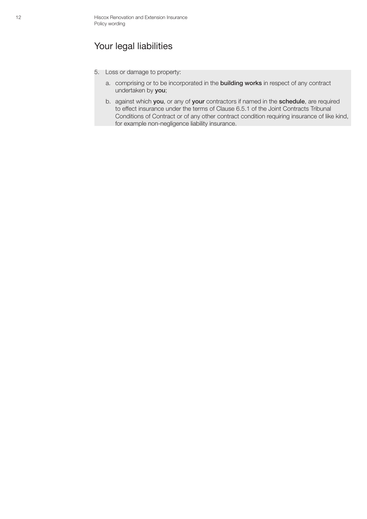## Your legal liabilities

- 5. Loss or damage to property:
	- a. comprising or to be incorporated in the building works in respect of any contract undertaken by you;
	- b. against which you, or any of your contractors if named in the schedule, are required to effect insurance under the terms of Clause 6.5.1 of the Joint Contracts Tribunal Conditions of Contract or of any other contract condition requiring insurance of like kind, for example non-negligence liability insurance.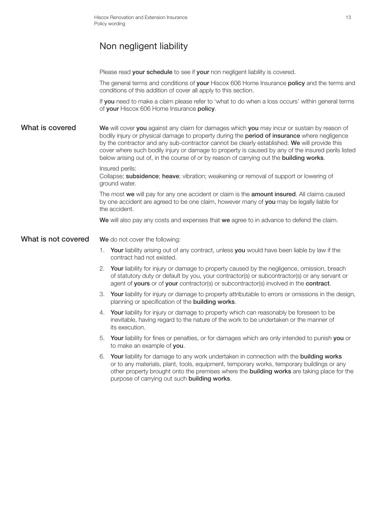# Non negligent liability

Please read your schedule to see if your non negligent liability is covered.

The general terms and conditions of your Hiscox 606 Home Insurance policy and the terms and conditions of this addition of cover all apply to this section.

If you need to make a claim please refer to 'what to do when a loss occurs' within general terms of your Hiscox 606 Home Insurance policy.

What is covered We will cover you against any claim for damages which you may incur or sustain by reason of bodily injury or physical damage to property during the **period of insurance** where negligence by the contractor and any sub-contractor cannot be clearly established. We will provide this cover where such bodily injury or damage to property is caused by any of the insured perils listed below arising out of, in the course of or by reason of carrying out the **building works**.

Insured perils:

Collapse; **subsidence**; heave; vibration; weakening or removal of support or lowering of ground water.

The most we will pay for any one accident or claim is the **amount insured**. All claims caused by one accident are agreed to be one claim, however many of you may be legally liable for the accident.

We will also pay any costs and expenses that we agree to in advance to defend the claim.

What is not covered We do not cover the following:

- 1. Your liability arising out of any contract, unless you would have been liable by law if the contract had not existed.
- 2. Your liability for injury or damage to property caused by the negligence, omission, breach of statutory duty or default by you, your contractor(s) or subcontractor(s) or any servant or agent of yours or of your contractor(s) or subcontractor(s) involved in the contract.
- 3. Your liability for injury or damage to property attributable to errors or omissions in the design, planning or specification of the building works.
- 4. Your liability for injury or damage to property which can reasonably be foreseen to be inevitable, having regard to the nature of the work to be undertaken or the manner of its execution.
- 5. Your liability for fines or penalties, or for damages which are only intended to punish you or to make an example of you.
- 6. Your liability for damage to any work undertaken in connection with the building works or to any materials, plant, tools, equipment, temporary works, temporary buildings or any other property brought onto the premises where the **building works** are taking place for the purpose of carrying out such building works.